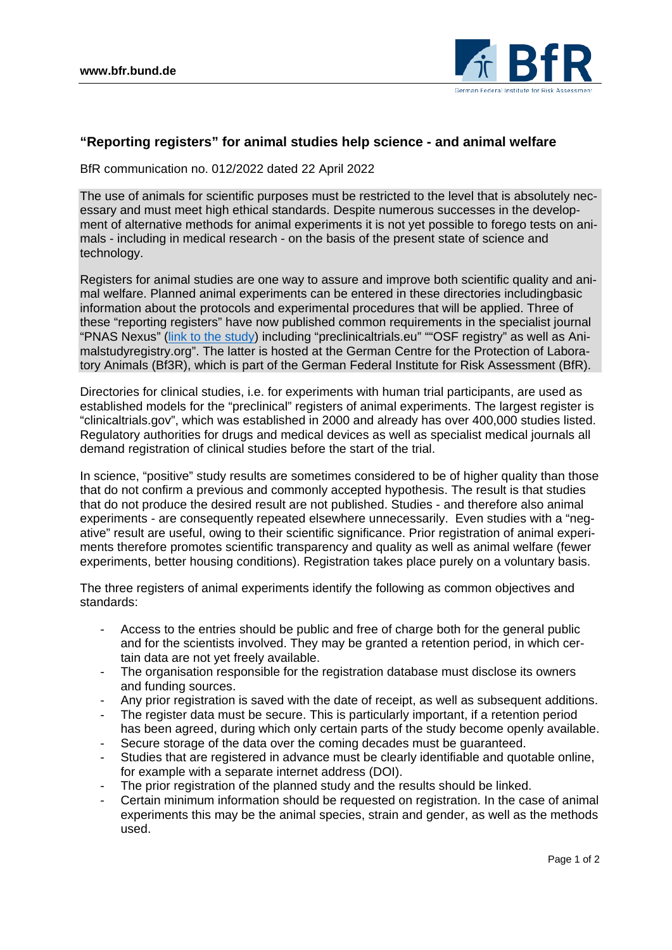

## **"Reporting registers" for animal studies help science - and animal welfare**

BfR communication no. 012/2022 dated 22 April 2022

The use of animals for scientific purposes must be restricted to the level that is absolutely necessary and must meet high ethical standards. Despite numerous successes in the development of alternative methods for animal experiments it is not yet possible to forego tests on animals - including in medical research - on the basis of the present state of science and technology.

Registers for animal studies are one way to assure and improve both scientific quality and animal welfare. Planned animal experiments can be entered in these directories includingbasic information about the protocols and experimental procedures that will be applied. Three of these "reporting registers" have now published common requirements in the specialist journal "PNAS Nexus" [\(link to the study\)](https://academic.oup.com/pnasnexus/article/1/1/pgac016/6549456) including "preclinicaltrials.eu" ""OSF registry" as well as Animalstudyregistry.org". The latter is hosted at the German Centre for the Protection of Laboratory Animals (Bf3R), which is part of the German Federal Institute for Risk Assessment (BfR).

Directories for clinical studies, i.e. for experiments with human trial participants, are used as established models for the "preclinical" registers of animal experiments. The largest register is "clinicaltrials.gov", which was established in 2000 and already has over 400,000 studies listed. Regulatory authorities for drugs and medical devices as well as specialist medical journals all demand registration of clinical studies before the start of the trial.

In science, "positive" study results are sometimes considered to be of higher quality than those that do not confirm a previous and commonly accepted hypothesis. The result is that studies that do not produce the desired result are not published. Studies - and therefore also animal experiments - are consequently repeated elsewhere unnecessarily. Even studies with a "negative" result are useful, owing to their scientific significance. Prior registration of animal experiments therefore promotes scientific transparency and quality as well as animal welfare (fewer experiments, better housing conditions). Registration takes place purely on a voluntary basis.

The three registers of animal experiments identify the following as common objectives and standards:

- Access to the entries should be public and free of charge both for the general public and for the scientists involved. They may be granted a retention period, in which certain data are not yet freely available.
- The organisation responsible for the registration database must disclose its owners and funding sources.
- Any prior registration is saved with the date of receipt, as well as subsequent additions.
- The register data must be secure. This is particularly important, if a retention period has been agreed, during which only certain parts of the study become openly available.
- Secure storage of the data over the coming decades must be guaranteed.
- Studies that are registered in advance must be clearly identifiable and quotable online, for example with a separate internet address (DOI).
- The prior registration of the planned study and the results should be linked.
- Certain minimum information should be requested on registration. In the case of animal experiments this may be the animal species, strain and gender, as well as the methods used.